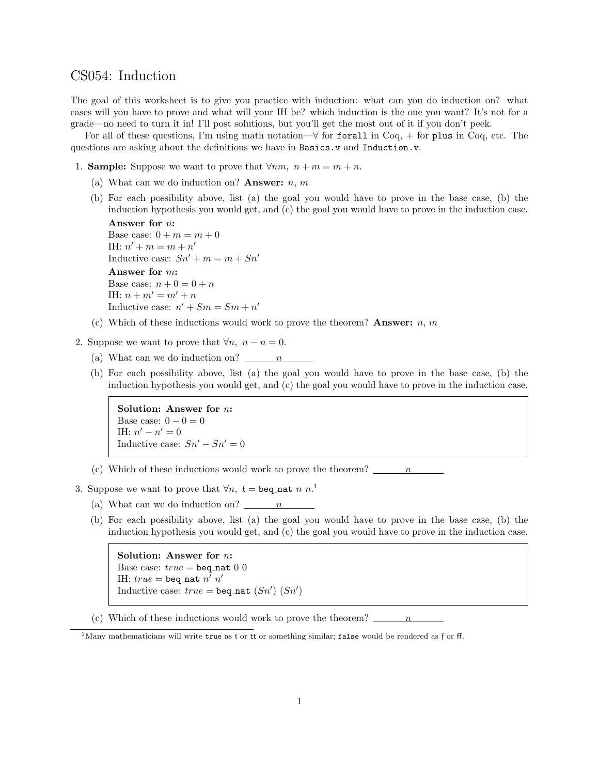## CS054: Induction

The goal of this worksheet is to give you practice with induction: what can you do induction on? what cases will you have to prove and what will your IH be? which induction is the one you want? It's not for a grade—no need to turn it in! I'll post solutions, but you'll get the most out of it if you don't peek.

For all of these questions, I'm using math notation— $\forall$  for forall in Coq, + for plus in Coq, etc. The questions are asking about the definitions we have in Basics.v and Induction.v.

- 1. **Sample:** Suppose we want to prove that  $\forall nm, n+m=m+n$ .
	- (a) What can we do induction on? **Answer:**  $n, m$
	- (b) For each possibility above, list (a) the goal you would have to prove in the base case, (b) the induction hypothesis you would get, and (c) the goal you would have to prove in the induction case.

```
Answer for n:
Base case: 0 + m = m + 0IH: n' + m = m + n'Inductive case: Sn' + m = m + Sn'Answer for m:
Base case: n + 0 = 0 + nIH: n + m' = m' + nInductive case: n' + Sm = Sm + n'
```
- (c) Which of these inductions would work to prove the theorem? Answer:  $n, m$
- 2. Suppose we want to prove that  $\forall n, n n = 0$ .
	- (a) What can we do induction on?  $\frac{n}{\cdot}$
	- (b) For each possibility above, list (a) the goal you would have to prove in the base case, (b) the induction hypothesis you would get, and (c) the goal you would have to prove in the induction case.

Solution: Answer for n: Base case:  $0 - 0 = 0$ IH:  $n' - n' = 0$ Inductive case:  $Sn' - Sn' = 0$ 

- (c) Which of these inductions would work to prove the theorem?  $\frac{n}{2}$
- 3. Suppose we want to prove that  $\forall n, t = \texttt{beq\_nat} \; n \; n$ <sup>1</sup>
	- (a) What can we do induction on?  $\frac{n}{n}$
	- (b) For each possibility above, list (a) the goal you would have to prove in the base case, (b) the induction hypothesis you would get, and (c) the goal you would have to prove in the induction case.

Solution: Answer for n: Base case:  $true = \text{beq\_nat} 0 0$ IH:  $true = \mathtt{beq\_nat}\;n'\;n'$ Inductive case:  $true = \texttt{beq\_nat}(Sn') (Sn')$ 

(c) Which of these inductions would work to prove the theorem?  $\ldots$  n

<sup>&</sup>lt;sup>1</sup>Many mathematicians will write true as t or tt or something similar; false would be rendered as f or ff.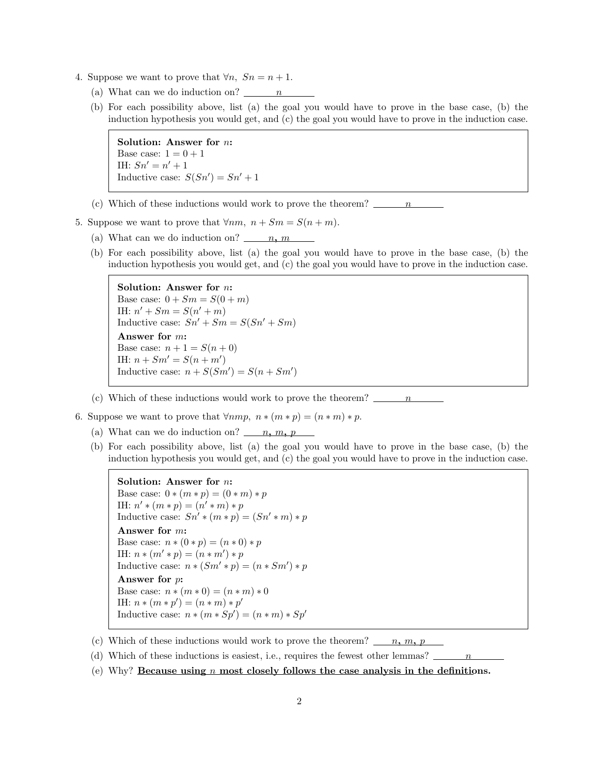- 4. Suppose we want to prove that  $\forall n, S_n = n+1$ .
	- (a) What can we do induction on?  $\frac{n}{n}$
	- (b) For each possibility above, list (a) the goal you would have to prove in the base case, (b) the induction hypothesis you would get, and (c) the goal you would have to prove in the induction case.

Solution: Answer for n: Base case:  $1 = 0 + 1$ IH:  $Sn' = n' + 1$ Inductive case:  $S(Sn') = Sn' + 1$ 

- (c) Which of these inductions would work to prove the theorem?  $\frac{n}{2}$
- 5. Suppose we want to prove that  $\forall nm, n + Sm = S(n + m)$ .
	- (a) What can we do induction on?  $n, m$
	- (b) For each possibility above, list (a) the goal you would have to prove in the base case, (b) the induction hypothesis you would get, and (c) the goal you would have to prove in the induction case.

```
Solution: Answer for n:
Base case: 0 + Sm = S(0 + m)IH: n' + Sm = S(n' + m)Inductive case: Sn' + Sm = S(Sn' + Sm)Answer for m:
Base case: n + 1 = S(n + 0)IH: n + Sm' = S(n + m')Inductive case: n + S(Sm') = S(n + Sm')
```
- (c) Which of these inductions would work to prove the theorem?  $\frac{n}{1-n}$
- 6. Suppose we want to prove that  $\forall nmp, n*(m*p) = (n*m)*p$ .
	- (a) What can we do induction on?  $n, m, p$
	- (b) For each possibility above, list (a) the goal you would have to prove in the base case, (b) the induction hypothesis you would get, and (c) the goal you would have to prove in the induction case.

```
Solution: Answer for n:
Base case: 0 * (m * p) = (0 * m) * pIH: n' * (m * p) = (n' * m) * pInductive case: Sn' * (m * p) = (Sn' * m) * pAnswer for m:
Base case: n * (0 * p) = (n * 0) * pIH: n * (m' * p) = (n * m') * pInductive case: n * (Sm' * p) = (n * Sm') * pAnswer for p:
Base case: n * (m * 0) = (n * m) * 0IH: n * (m * p') = (n * m) * p'Inductive case: n * (m * Sp') = (n * m) * Sp'
```
- (c) Which of these inductions would work to prove the theorem?  $\qquad n, m, p$
- (d) Which of these inductions is easiest, i.e., requires the fewest other lemmas?
- (e) Why? Because using  $n$  most closely follows the case analysis in the definitions.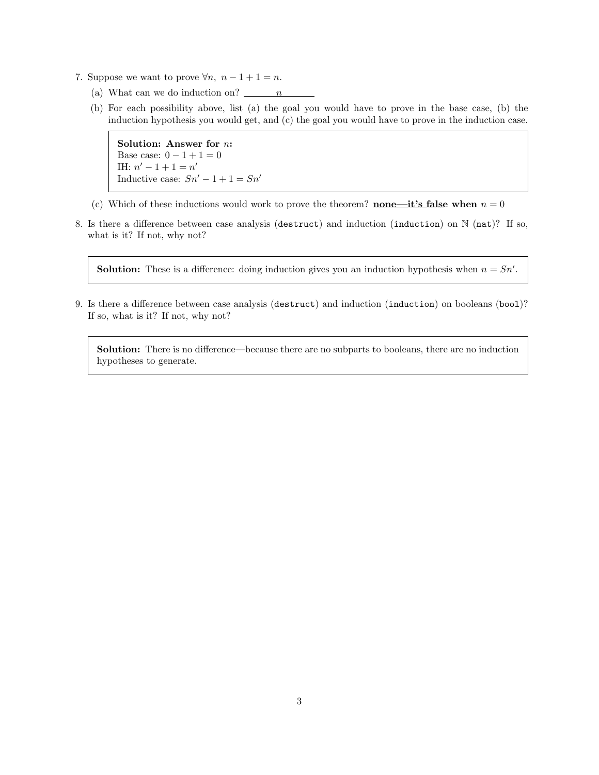- 7. Suppose we want to prove  $\forall n, n-1+1 = n$ .
	- (a) What can we do induction on?  $\frac{n}{2}$
	- (b) For each possibility above, list (a) the goal you would have to prove in the base case, (b) the induction hypothesis you would get, and (c) the goal you would have to prove in the induction case.

Solution: Answer for n: Base case:  $0 - 1 + 1 = 0$ IH:  $n' - 1 + 1 = n'$ Inductive case:  $Sn' - 1 + 1 = Sn'$ 

- (c) Which of these inductions would work to prove the theorem? none—it's false when  $n = 0$
- 8. Is there a difference between case analysis (destruct) and induction (induction) on  $\mathbb{N}$  (nat)? If so, what is it? If not, why not?

**Solution:** These is a difference: doing induction gives you an induction hypothesis when  $n = Sn'$ .

9. Is there a difference between case analysis (destruct) and induction (induction) on booleans (bool)? If so, what is it? If not, why not?

Solution: There is no difference—because there are no subparts to booleans, there are no induction hypotheses to generate.